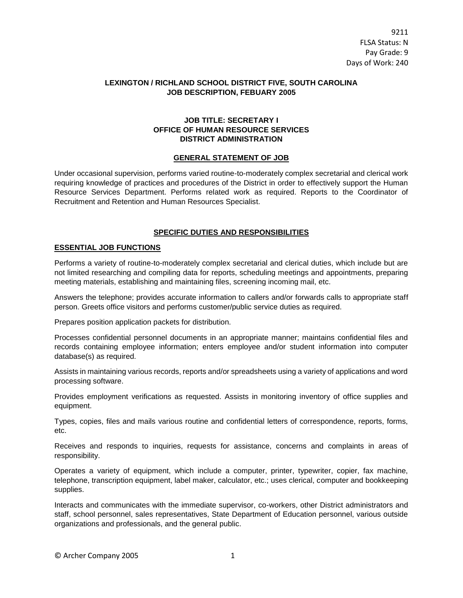# **LEXINGTON / RICHLAND SCHOOL DISTRICT FIVE, SOUTH CAROLINA JOB DESCRIPTION, FEBUARY 2005**

# **JOB TITLE: SECRETARY I OFFICE OF HUMAN RESOURCE SERVICES DISTRICT ADMINISTRATION**

### **GENERAL STATEMENT OF JOB**

Under occasional supervision, performs varied routine-to-moderately complex secretarial and clerical work requiring knowledge of practices and procedures of the District in order to effectively support the Human Resource Services Department. Performs related work as required. Reports to the Coordinator of Recruitment and Retention and Human Resources Specialist.

### **SPECIFIC DUTIES AND RESPONSIBILITIES**

#### **ESSENTIAL JOB FUNCTIONS**

Performs a variety of routine-to-moderately complex secretarial and clerical duties, which include but are not limited researching and compiling data for reports, scheduling meetings and appointments, preparing meeting materials, establishing and maintaining files, screening incoming mail, etc.

Answers the telephone; provides accurate information to callers and/or forwards calls to appropriate staff person. Greets office visitors and performs customer/public service duties as required.

Prepares position application packets for distribution.

Processes confidential personnel documents in an appropriate manner; maintains confidential files and records containing employee information; enters employee and/or student information into computer database(s) as required.

Assists in maintaining various records, reports and/or spreadsheets using a variety of applications and word processing software.

Provides employment verifications as requested. Assists in monitoring inventory of office supplies and equipment.

Types, copies, files and mails various routine and confidential letters of correspondence, reports, forms, etc.

Receives and responds to inquiries, requests for assistance, concerns and complaints in areas of responsibility.

Operates a variety of equipment, which include a computer, printer, typewriter, copier, fax machine, telephone, transcription equipment, label maker, calculator, etc.; uses clerical, computer and bookkeeping supplies.

Interacts and communicates with the immediate supervisor, co-workers, other District administrators and staff, school personnel, sales representatives, State Department of Education personnel, various outside organizations and professionals, and the general public.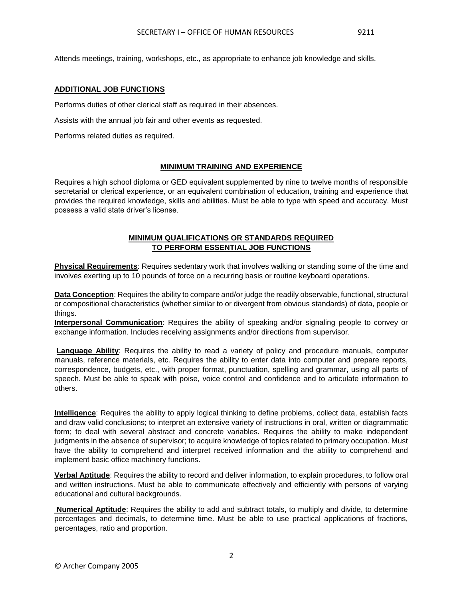Attends meetings, training, workshops, etc., as appropriate to enhance job knowledge and skills.

### **ADDITIONAL JOB FUNCTIONS**

Performs duties of other clerical staff as required in their absences.

Assists with the annual job fair and other events as requested.

Performs related duties as required.

#### **MINIMUM TRAINING AND EXPERIENCE**

Requires a high school diploma or GED equivalent supplemented by nine to twelve months of responsible secretarial or clerical experience, or an equivalent combination of education, training and experience that provides the required knowledge, skills and abilities. Must be able to type with speed and accuracy. Must possess a valid state driver's license.

# **MINIMUM QUALIFICATIONS OR STANDARDS REQUIRED TO PERFORM ESSENTIAL JOB FUNCTIONS**

**Physical Requirements**: Requires sedentary work that involves walking or standing some of the time and involves exerting up to 10 pounds of force on a recurring basis or routine keyboard operations.

**Data Conception**: Requires the ability to compare and/or judge the readily observable, functional, structural or compositional characteristics (whether similar to or divergent from obvious standards) of data, people or things.

**Interpersonal Communication**: Requires the ability of speaking and/or signaling people to convey or exchange information. Includes receiving assignments and/or directions from supervisor.

**Language Ability**: Requires the ability to read a variety of policy and procedure manuals, computer manuals, reference materials, etc. Requires the ability to enter data into computer and prepare reports, correspondence, budgets, etc., with proper format, punctuation, spelling and grammar, using all parts of speech. Must be able to speak with poise, voice control and confidence and to articulate information to others.

**Intelligence**: Requires the ability to apply logical thinking to define problems, collect data, establish facts and draw valid conclusions; to interpret an extensive variety of instructions in oral, written or diagrammatic form; to deal with several abstract and concrete variables. Requires the ability to make independent judgments in the absence of supervisor; to acquire knowledge of topics related to primary occupation. Must have the ability to comprehend and interpret received information and the ability to comprehend and implement basic office machinery functions.

**Verbal Aptitude**: Requires the ability to record and deliver information, to explain procedures, to follow oral and written instructions. Must be able to communicate effectively and efficiently with persons of varying educational and cultural backgrounds.

**Numerical Aptitude**: Requires the ability to add and subtract totals, to multiply and divide, to determine percentages and decimals, to determine time. Must be able to use practical applications of fractions, percentages, ratio and proportion.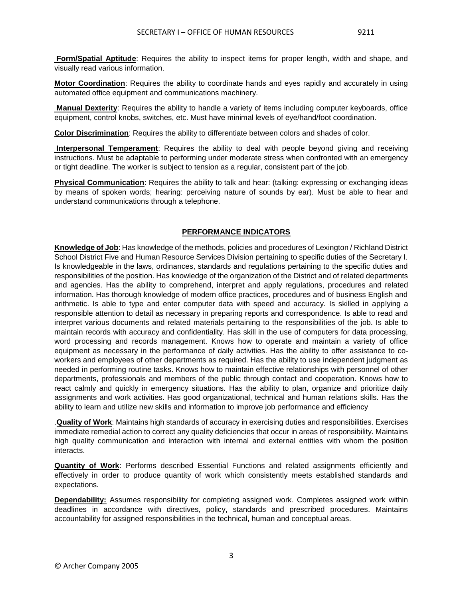**Form/Spatial Aptitude**: Requires the ability to inspect items for proper length, width and shape, and visually read various information.

**Motor Coordination**: Requires the ability to coordinate hands and eyes rapidly and accurately in using automated office equipment and communications machinery.

**Manual Dexterity**: Requires the ability to handle a variety of items including computer keyboards, office equipment, control knobs, switches, etc. Must have minimal levels of eye/hand/foot coordination.

**Color Discrimination**: Requires the ability to differentiate between colors and shades of color.

**Interpersonal Temperament**: Requires the ability to deal with people beyond giving and receiving instructions. Must be adaptable to performing under moderate stress when confronted with an emergency or tight deadline. The worker is subject to tension as a regular, consistent part of the job.

**Physical Communication**: Requires the ability to talk and hear: (talking: expressing or exchanging ideas by means of spoken words; hearing: perceiving nature of sounds by ear). Must be able to hear and understand communications through a telephone.

#### **PERFORMANCE INDICATORS**

**Knowledge of Job**: Has knowledge of the methods, policies and procedures of Lexington / Richland District School District Five and Human Resource Services Division pertaining to specific duties of the Secretary I. Is knowledgeable in the laws, ordinances, standards and regulations pertaining to the specific duties and responsibilities of the position. Has knowledge of the organization of the District and of related departments and agencies. Has the ability to comprehend, interpret and apply regulations, procedures and related information. Has thorough knowledge of modern office practices, procedures and of business English and arithmetic. Is able to type and enter computer data with speed and accuracy. Is skilled in applying a responsible attention to detail as necessary in preparing reports and correspondence. Is able to read and interpret various documents and related materials pertaining to the responsibilities of the job. Is able to maintain records with accuracy and confidentiality. Has skill in the use of computers for data processing, word processing and records management. Knows how to operate and maintain a variety of office equipment as necessary in the performance of daily activities. Has the ability to offer assistance to coworkers and employees of other departments as required. Has the ability to use independent judgment as needed in performing routine tasks. Knows how to maintain effective relationships with personnel of other departments, professionals and members of the public through contact and cooperation. Knows how to react calmly and quickly in emergency situations. Has the ability to plan, organize and prioritize daily assignments and work activities. Has good organizational, technical and human relations skills. Has the ability to learn and utilize new skills and information to improve job performance and efficiency

.**Quality of Work**: Maintains high standards of accuracy in exercising duties and responsibilities. Exercises immediate remedial action to correct any quality deficiencies that occur in areas of responsibility. Maintains high quality communication and interaction with internal and external entities with whom the position interacts.

**Quantity of Work**: Performs described Essential Functions and related assignments efficiently and effectively in order to produce quantity of work which consistently meets established standards and expectations.

**Dependability:** Assumes responsibility for completing assigned work. Completes assigned work within deadlines in accordance with directives, policy, standards and prescribed procedures. Maintains accountability for assigned responsibilities in the technical, human and conceptual areas.